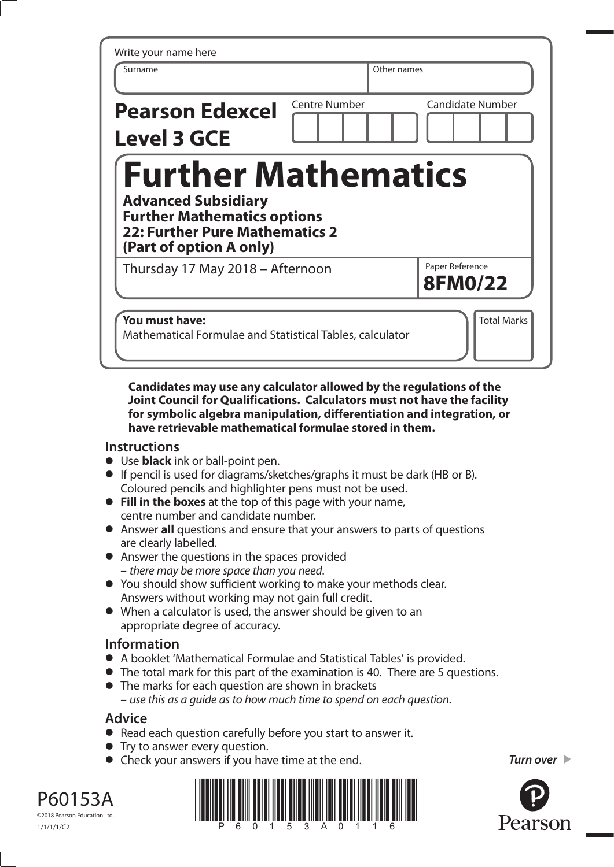| Write your name here<br>Surname                                                                                               |                      | Other names |                                   |
|-------------------------------------------------------------------------------------------------------------------------------|----------------------|-------------|-----------------------------------|
| <b>Pearson Edexcel</b><br><b>Level 3 GCE</b>                                                                                  | <b>Centre Number</b> |             | <b>Candidate Number</b>           |
| <b>Further Mathematics</b>                                                                                                    |                      |             |                                   |
| <b>Advanced Subsidiary</b><br><b>Further Mathematics options</b><br>22: Further Pure Mathematics 2<br>(Part of option A only) |                      |             |                                   |
| Thursday 17 May 2018 - Afternoon                                                                                              |                      |             | Paper Reference<br><b>8FM0/22</b> |

**Candidates may use any calculator allowed by the regulations of the Joint Council for Qualifications. Calculators must not have the facility for symbolic algebra manipulation, differentiation and integration, or have retrievable mathematical formulae stored in them.**

## **Instructions**

- **•** Use **black** ink or ball-point pen.
- **•** If pencil is used for diagrams/sketches/graphs it must be dark (HB or B). Coloured pencils and highlighter pens must not be used.
- **• Fill in the boxes** at the top of this page with your name, centre number and candidate number.
- **•** Answer **all** questions and ensure that your answers to parts of questions are clearly labelled.
- **•** Answer the questions in the spaces provided – *there may be more space than you need*.
- **•** You should show sufficient working to make your methods clear. Answers without working may not gain full credit.
- **•** When a calculator is used, the answer should be given to an appropriate degree of accuracy.

## **Information**

- **•** A booklet 'Mathematical Formulae and Statistical Tables' is provided.
- **•** The total mark for this part of the examination is 40. There are 5 questions.
- **•** The marks for each question are shown in brackets – *use this as a guide as to how much time to spend on each question*.

## **Advice**

- **•** Read each question carefully before you start to answer it.
- **•** Try to answer every question.
- **•** Check your answers if you have time at the end.

*Turn over* 



©2018 Pearson Education Ltd. 1/1/1/1/C2

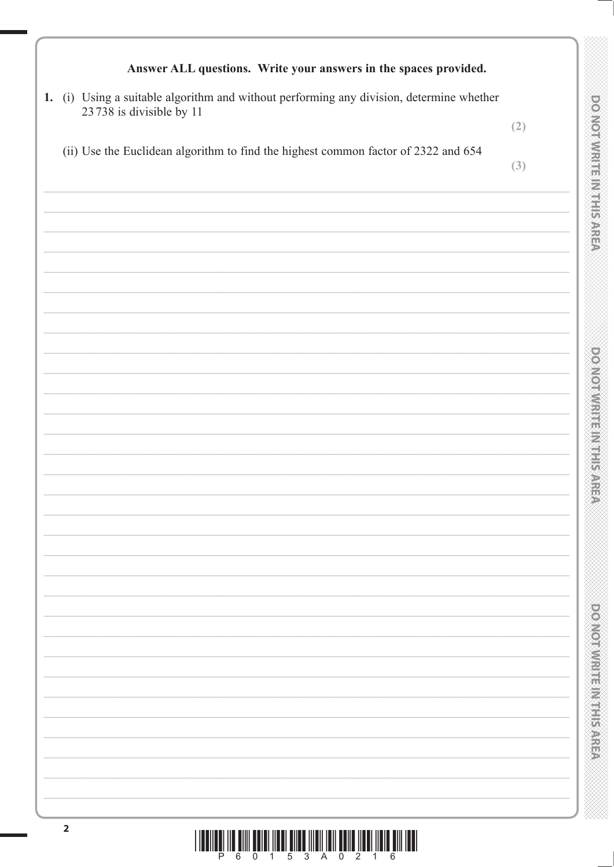| 1. (i) Using a suitable algorithm and without performing any division, determine whether                              |     |
|-----------------------------------------------------------------------------------------------------------------------|-----|
| 23 738 is divisible by 11                                                                                             | (2) |
| (ii) Use the Euclidean algorithm to find the highest common factor of 2322 and 654                                    | (3) |
| the control of the control of the control of the control of the control of                                            |     |
|                                                                                                                       |     |
|                                                                                                                       |     |
|                                                                                                                       |     |
|                                                                                                                       |     |
| <u> 1989 - Johann John Stein, markin fan it fjort fan it fjort fan it fjort fan it fjort fan it fjort fan it fjor</u> |     |
| <u> 1989 - Andrea Barbara, Amerikaansk politiker (</u>                                                                |     |
|                                                                                                                       |     |
|                                                                                                                       |     |
|                                                                                                                       |     |
|                                                                                                                       |     |
|                                                                                                                       |     |
|                                                                                                                       |     |
|                                                                                                                       |     |
|                                                                                                                       |     |
|                                                                                                                       |     |
|                                                                                                                       |     |
|                                                                                                                       |     |
|                                                                                                                       |     |

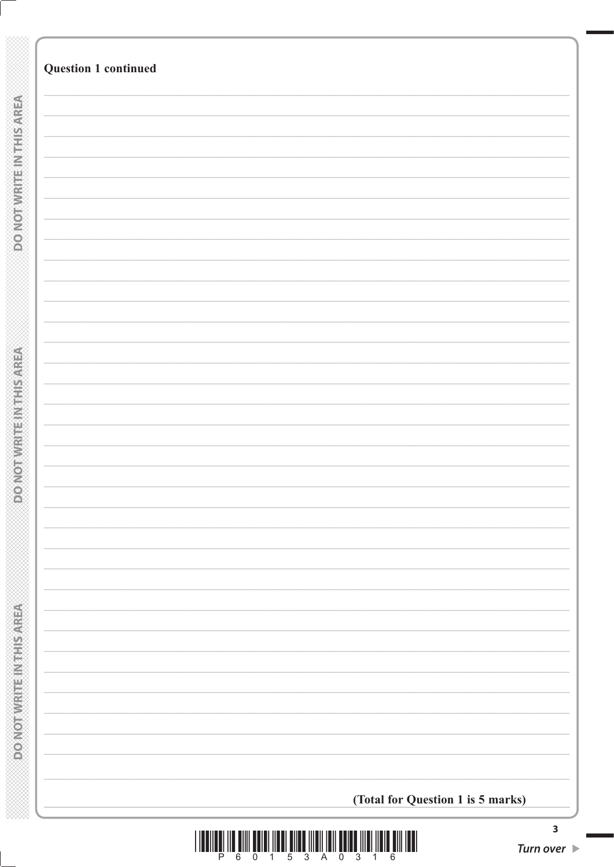| <b>Question 1 continued</b>       |  |
|-----------------------------------|--|
|                                   |  |
|                                   |  |
|                                   |  |
|                                   |  |
|                                   |  |
|                                   |  |
|                                   |  |
|                                   |  |
|                                   |  |
|                                   |  |
|                                   |  |
|                                   |  |
|                                   |  |
|                                   |  |
|                                   |  |
|                                   |  |
|                                   |  |
|                                   |  |
|                                   |  |
|                                   |  |
|                                   |  |
|                                   |  |
|                                   |  |
|                                   |  |
|                                   |  |
|                                   |  |
|                                   |  |
|                                   |  |
|                                   |  |
|                                   |  |
|                                   |  |
|                                   |  |
|                                   |  |
|                                   |  |
|                                   |  |
|                                   |  |
|                                   |  |
|                                   |  |
|                                   |  |
|                                   |  |
|                                   |  |
|                                   |  |
|                                   |  |
|                                   |  |
|                                   |  |
|                                   |  |
| (Total for Question 1 is 5 marks) |  |
|                                   |  |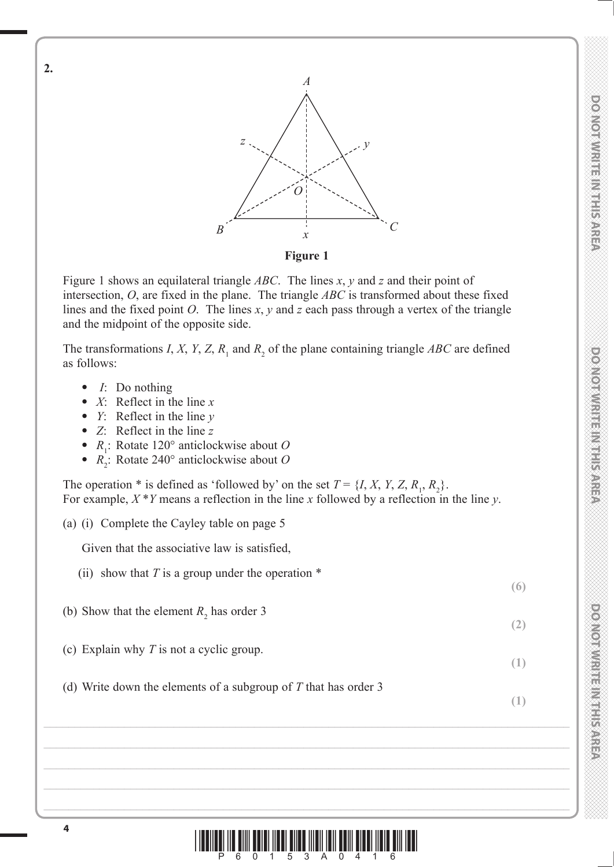

Figure 1 shows an equilateral triangle *ABC*. The lines *x*, *y* and *z* and their point of intersection, *O*, are fixed in the plane. The triangle *ABC* is transformed about these fixed lines and the fixed point *O*. The lines *x*, *y* and *z* each pass through a vertex of the triangle and the midpoint of the opposite side.

The transformations *I*, *X*, *Y*, *Z*,  $R_1$  and  $R_2$  of the plane containing triangle *ABC* are defined as follows:

**•** *I*: Do nothing

**2.** 

- **•** *X*: Reflect in the line *x*
- **•** *Y*: Reflect in the line *y*
- **•** *Z*: Reflect in the line *z*
- **•** *<sup>R</sup>*<sup>1</sup> : Rotate 120° anticlockwise about *O*
- $R_2^{\text{!`}}$ : Rotate 240° anticlockwise about *O*

The operation \* is defined as 'followed by' on the set  $T = \{I, X, Y, Z, R_1, R_2\}$ . For example, *X* \**Y* means a reflection in the line *x* followed by a reflection in the line *y*.

(a) (i) Complete the Cayley table on page 5

Given that the associative law is satisfied,

- (ii) show that  $T$  is a group under the operation  $*$
- (b) Show that the element  $R_2$  has order 3
- (c) Explain why *T* is not a cyclic group.
- (d) Write down the elements of a subgroup of *T* that has order 3

**(6)**

**(2)**

**(1)**

**(1)**

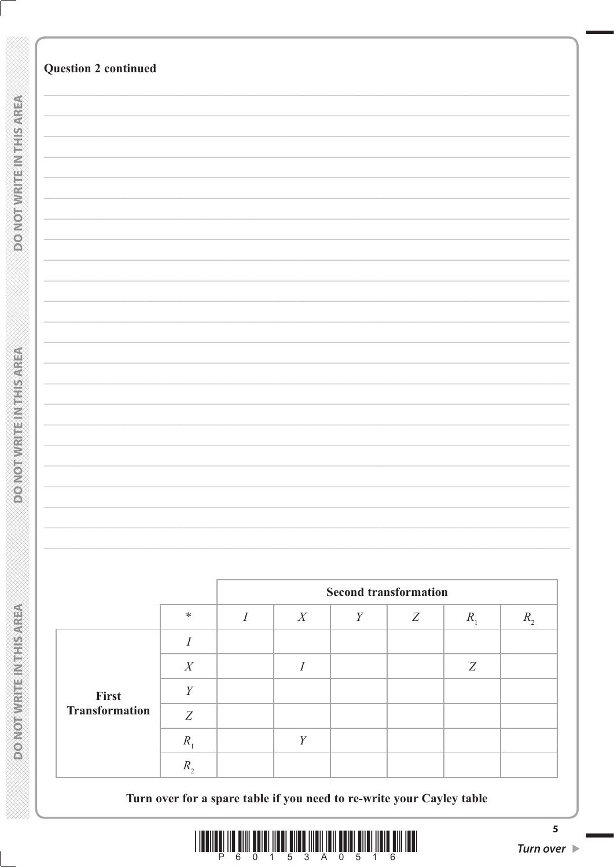|                       |                  |          |                  |                  | <b>Second transformation</b> |                  |         |
|-----------------------|------------------|----------|------------------|------------------|------------------------------|------------------|---------|
|                       | $\ast$           | $\cal I$ | $\boldsymbol{X}$ | $\boldsymbol{Y}$ | Z                            | $R_{1}$          |         |
|                       | $\boldsymbol{I}$ |          |                  |                  |                              |                  |         |
|                       | $\boldsymbol{X}$ |          | $\cal I$         |                  |                              | $\boldsymbol{Z}$ |         |
| First                 | $\boldsymbol{Y}$ |          |                  |                  |                              |                  |         |
| <b>Transformation</b> | Z                |          |                  |                  |                              |                  |         |
|                       | $R_{1}$          |          | $\boldsymbol{Y}$ |                  |                              |                  | $R_{2}$ |

 $\begin{array}{c} \hline \rule{0pt}{2ex} \rule{0pt}{2ex} \rule{0pt}{2ex} \rule{0pt}{2ex} \rule{0pt}{2ex} \rule{0pt}{2ex} \rule{0pt}{2ex} \rule{0pt}{2ex} \rule{0pt}{2ex} \rule{0pt}{2ex} \rule{0pt}{2ex} \rule{0pt}{2ex} \rule{0pt}{2ex} \rule{0pt}{2ex} \rule{0pt}{2ex} \rule{0pt}{2ex} \rule{0pt}{2ex} \rule{0pt}{2ex} \rule{0pt}{2ex} \rule{0pt}{2ex} \rule{0pt}{2ex} \rule{0pt}{2ex} \rule{0pt}{2ex} \rule{$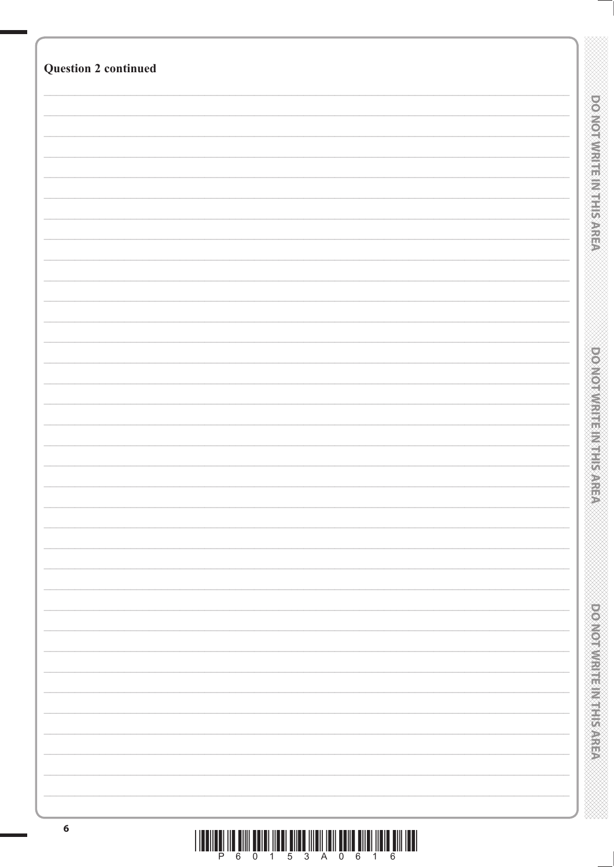| <b>Question 2 continued</b> |                                  |
|-----------------------------|----------------------------------|
|                             |                                  |
|                             |                                  |
|                             | <b>DO NOT WRITE IN THIS AREA</b> |
|                             |                                  |
|                             |                                  |
|                             |                                  |
|                             |                                  |
|                             |                                  |
|                             |                                  |
|                             |                                  |
|                             |                                  |
|                             |                                  |
|                             |                                  |
|                             |                                  |
|                             |                                  |
|                             |                                  |
|                             |                                  |
|                             |                                  |
|                             |                                  |
|                             |                                  |
|                             | <b>DOMORWRITERMENT RANGE</b>     |
|                             |                                  |
|                             |                                  |
|                             |                                  |
|                             |                                  |
|                             |                                  |
|                             |                                  |
|                             |                                  |
|                             |                                  |
|                             |                                  |
|                             |                                  |
|                             |                                  |
|                             |                                  |
|                             |                                  |
|                             |                                  |
|                             | <b>DOMOTIVE INTERNATION</b>      |
|                             |                                  |
|                             |                                  |
|                             |                                  |
|                             |                                  |
|                             |                                  |
|                             |                                  |
| $\boldsymbol{6}$            |                                  |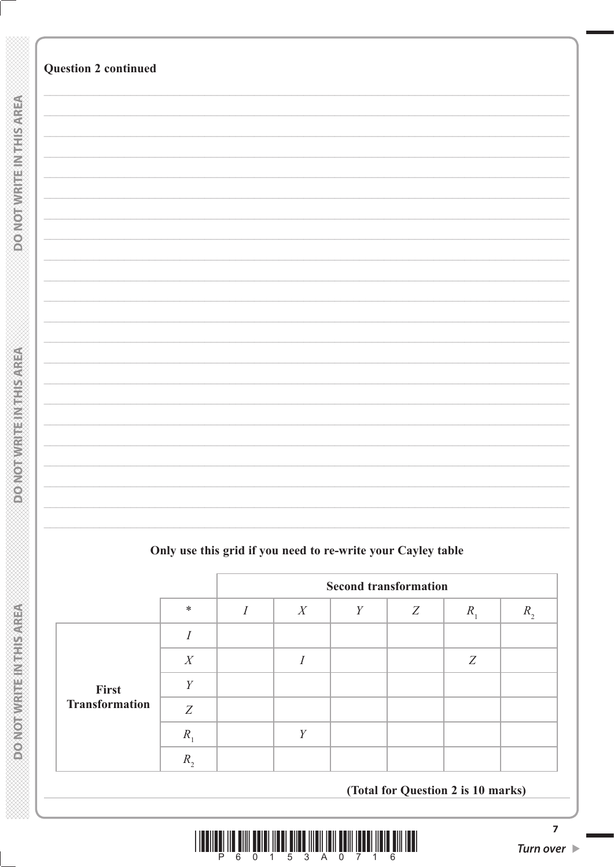|  |  |  | Only use this grid if you need to re-write your Cayley table |  |  |
|--|--|--|--------------------------------------------------------------|--|--|
|  |  |  |                                                              |  |  |

|                       |             |   | <b>Second transformation</b> |   |   |         |    |
|-----------------------|-------------|---|------------------------------|---|---|---------|----|
|                       | $\ast$      | T | X                            | Y | Z | $R_{1}$ | R, |
|                       |             |   |                              |   |   |         |    |
|                       | X           |   |                              |   |   | Z       |    |
| First                 | V           |   |                              |   |   |         |    |
| <b>Transformation</b> | Z           |   |                              |   |   |         |    |
|                       | $R_{\rm s}$ |   | Y                            |   |   |         |    |
|                       | $R_{\cdot}$ |   |                              |   |   |         |    |
|                       |             |   |                              |   |   |         |    |

(Total for Question 2 is 10 marks)

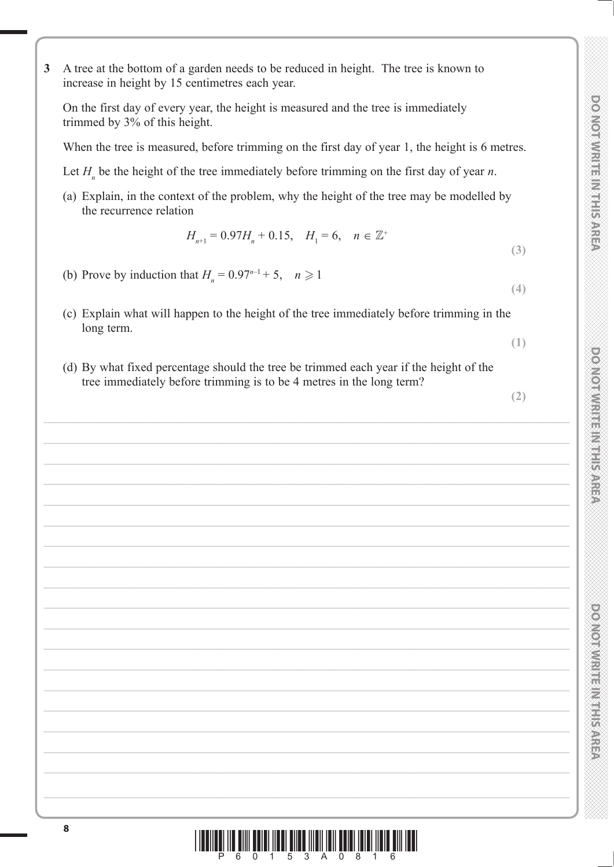**3** A tree at the bottom of a garden needs to be reduced in height. The tree is known to increase in height by 15 centimetres each year.

On the first day of every year, the height is measured and the tree is immediately trimmed by 3% of this height.

When the tree is measured, before trimming on the first day of year 1, the height is 6 metres.

- Let  $H_n$  be the height of the tree immediately before trimming on the first day of year *n*.
- (a) Explain, in the context of the problem, why the height of the tree may be modelled by the recurrence relation

$$
H_{n+1} = 0.97H_n + 0.15, \quad H_1 = 6, \quad n \in \mathbb{Z}^+
$$

- (b) Prove by induction that  $H_n = 0.97^{n-1} + 5$ ,  $n \ge 1$
- (c) Explain what will happen to the height of the tree immediately before trimming in the long term.
- (d) By what fixed percentage should the tree be trimmed each year if the height of the tree immediately before trimming is to be 4 metres in the long term?

**(2)**

**(3)**

**(4)**

**(1)**

\*P60153A0816\*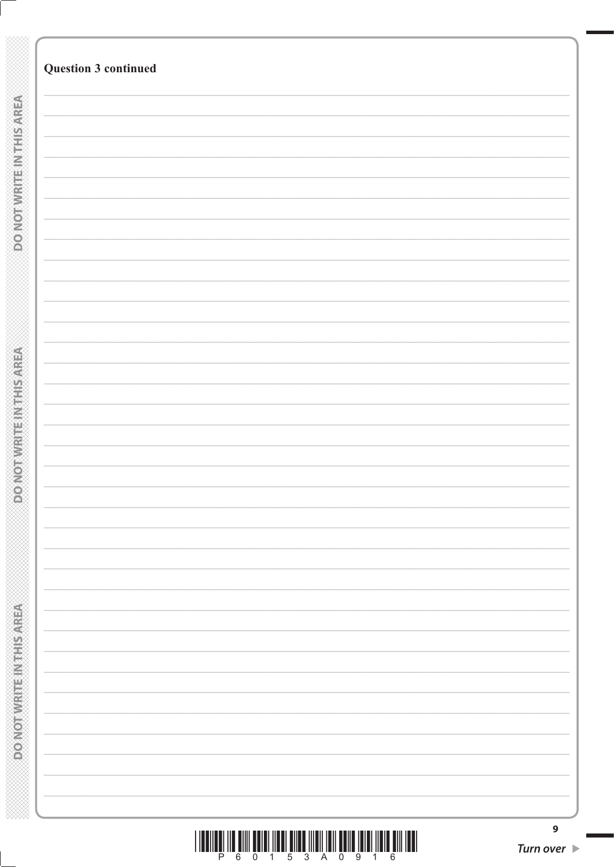|                             | <b>Question 3 continued</b> |
|-----------------------------|-----------------------------|
|                             |                             |
|                             |                             |
|                             |                             |
| <b>DO NOTWART NITHSAREA</b> |                             |
|                             |                             |
|                             |                             |
|                             |                             |
|                             |                             |
|                             |                             |
|                             |                             |
|                             |                             |
|                             |                             |
|                             |                             |
|                             |                             |
|                             |                             |
|                             |                             |
|                             |                             |
|                             |                             |
|                             |                             |
|                             |                             |
|                             |                             |
|                             |                             |
|                             |                             |
|                             |                             |
|                             |                             |
|                             |                             |
|                             |                             |
|                             |                             |
|                             |                             |
|                             |                             |
|                             |                             |
|                             |                             |
|                             |                             |
|                             |                             |
|                             |                             |
|                             |                             |
|                             |                             |
|                             |                             |
|                             |                             |
|                             |                             |
|                             |                             |
|                             |                             |
|                             |                             |
|                             |                             |
|                             |                             |
|                             |                             |
|                             |                             |
|                             |                             |
|                             |                             |
|                             |                             |
|                             |                             |
|                             |                             |
|                             |                             |
|                             |                             |
|                             |                             |
|                             |                             |
|                             |                             |
|                             |                             |
|                             |                             |
|                             |                             |
|                             |                             |
|                             |                             |
|                             |                             |
|                             |                             |
|                             |                             |
|                             |                             |
|                             |                             |
|                             |                             |
|                             |                             |
|                             |                             |
|                             |                             |
|                             |                             |
|                             |                             |
|                             |                             |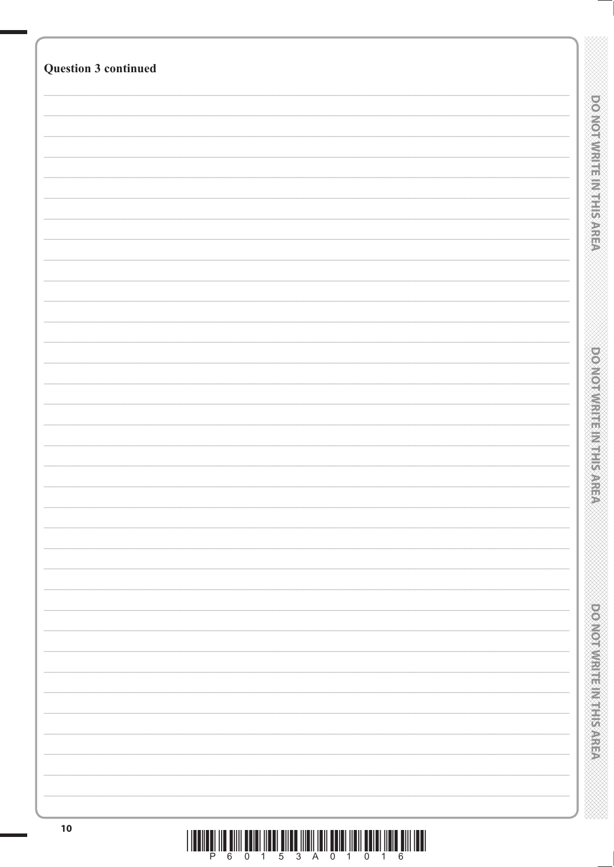| Question 3 continued |                                  |
|----------------------|----------------------------------|
|                      |                                  |
|                      | <b>DOMOTIVATE EINTERNAREA</b>    |
|                      |                                  |
|                      |                                  |
|                      |                                  |
|                      |                                  |
|                      |                                  |
|                      |                                  |
|                      |                                  |
|                      |                                  |
|                      | <b>DOMOTIVE ET ELECTRIC AREA</b> |
|                      |                                  |
|                      |                                  |
|                      |                                  |
|                      |                                  |
|                      |                                  |
|                      |                                  |
|                      |                                  |
|                      |                                  |
|                      |                                  |
|                      |                                  |
|                      | <b>DONOTWRITEINING</b>           |
|                      |                                  |
|                      |                                  |
|                      |                                  |
| 10                   |                                  |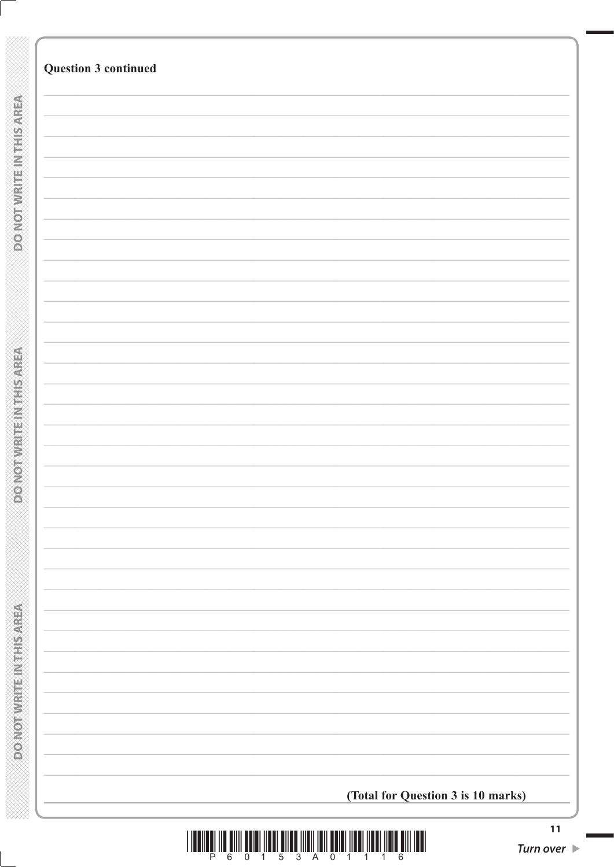| <b>Question 3 continued</b>        |
|------------------------------------|
|                                    |
|                                    |
|                                    |
|                                    |
|                                    |
|                                    |
|                                    |
|                                    |
|                                    |
|                                    |
|                                    |
|                                    |
|                                    |
|                                    |
|                                    |
|                                    |
|                                    |
|                                    |
|                                    |
|                                    |
|                                    |
|                                    |
|                                    |
|                                    |
|                                    |
|                                    |
|                                    |
|                                    |
|                                    |
|                                    |
|                                    |
|                                    |
|                                    |
|                                    |
|                                    |
|                                    |
|                                    |
|                                    |
|                                    |
|                                    |
|                                    |
|                                    |
|                                    |
|                                    |
|                                    |
|                                    |
|                                    |
|                                    |
|                                    |
|                                    |
| (Total for Question 3 is 10 marks) |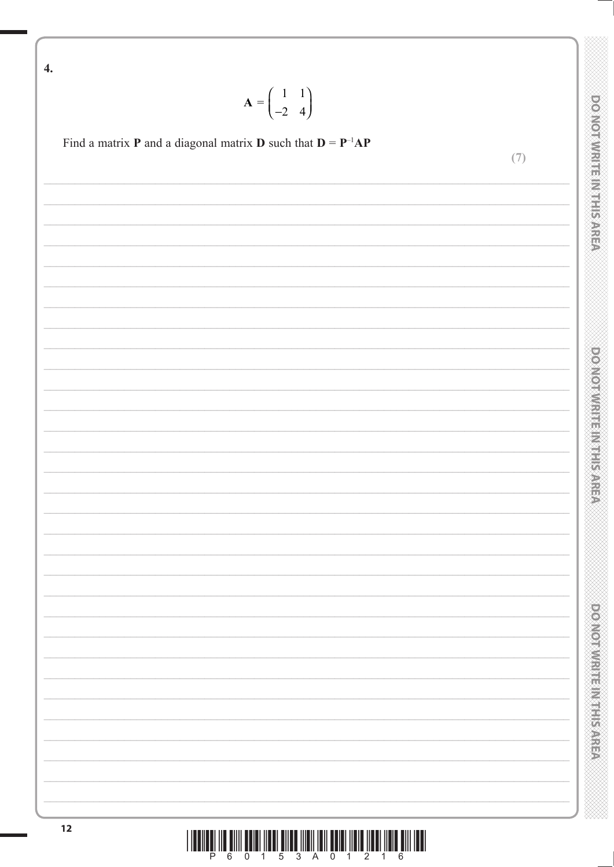$\overline{4}$ .  $\mathbf{A} = \begin{pmatrix} 1 & 1 \\ -2 & 4 \end{pmatrix}$ **DO NOT WRITE IN THIS AREA** Find a matrix **P** and a diagonal matrix **D** such that  $D = P^{-1}AP$  $(7)$ **DOMORWRITEINISTICARE DONORWRITE IN TERRETAREA**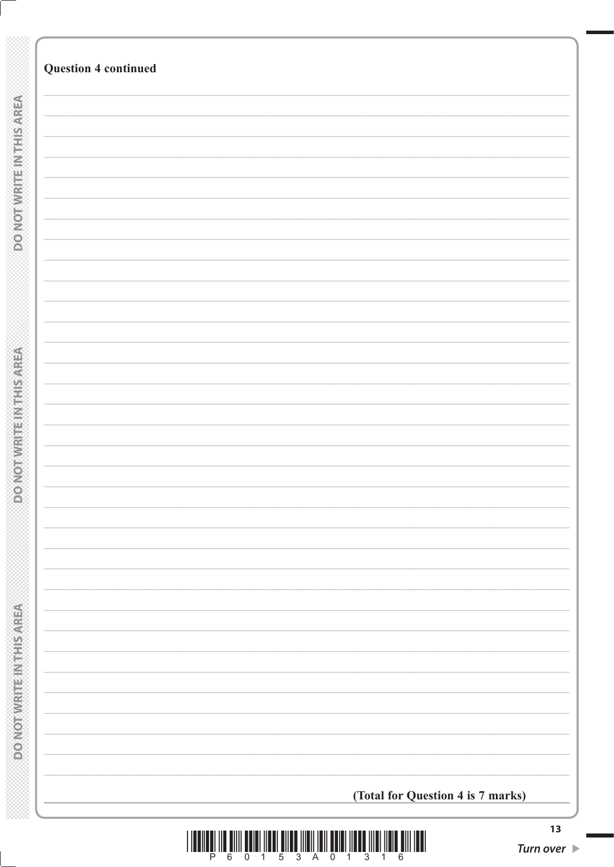|                                  | <b>Question 4 continued</b>       |
|----------------------------------|-----------------------------------|
|                                  |                                   |
|                                  |                                   |
|                                  |                                   |
|                                  |                                   |
| <b>DO NOT WRITE IN THIS AREA</b> |                                   |
|                                  |                                   |
|                                  |                                   |
|                                  |                                   |
|                                  |                                   |
|                                  |                                   |
|                                  |                                   |
|                                  |                                   |
|                                  |                                   |
|                                  |                                   |
| <b>DOMOT WRITERING TO ACEA</b>   |                                   |
|                                  |                                   |
|                                  |                                   |
|                                  |                                   |
|                                  |                                   |
|                                  |                                   |
|                                  |                                   |
|                                  |                                   |
|                                  |                                   |
|                                  |                                   |
|                                  |                                   |
|                                  |                                   |
|                                  |                                   |
| DONOT WRITE IN THIS AREA         |                                   |
|                                  |                                   |
|                                  |                                   |
|                                  |                                   |
|                                  | (Total for Question 4 is 7 marks) |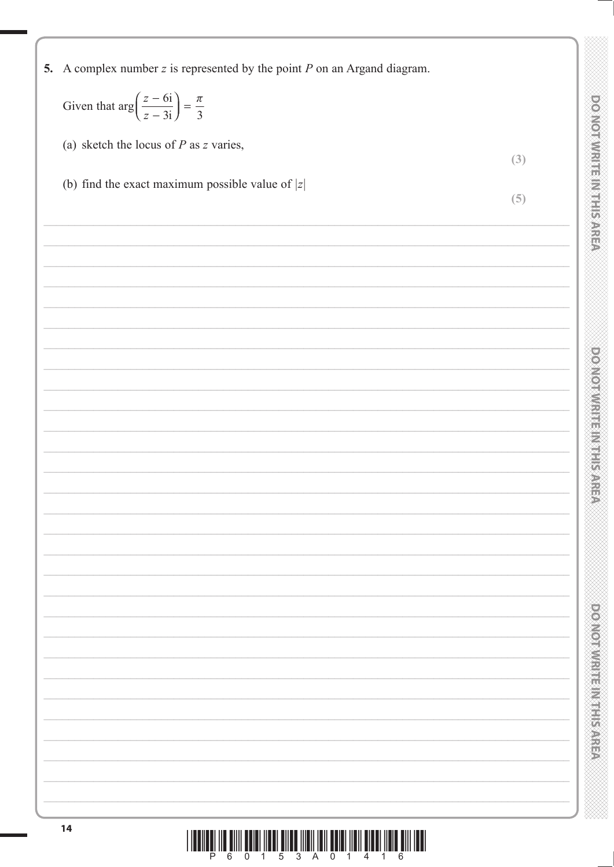| 5. A complex number $z$ is represented by the point $P$ on an Argand diagram.                                         |                                         |
|-----------------------------------------------------------------------------------------------------------------------|-----------------------------------------|
| Given that $\arg\left(\frac{z-6i}{z-3i}\right) = \frac{\pi}{3}$                                                       |                                         |
| (a) sketch the locus of $P$ as $z$ varies,                                                                            | (3)                                     |
| (b) find the exact maximum possible value of $ z $                                                                    | <b>DO NOT WRITE IN THIS AREA</b><br>(5) |
|                                                                                                                       |                                         |
|                                                                                                                       |                                         |
|                                                                                                                       |                                         |
|                                                                                                                       |                                         |
| <u> 1989 - Johann Harry Barn, mars ar breithinn ar breithinn ar breithinn ar breithinn ar breithinn ar breithinn </u> | <b>DOMORATION FRAME</b>                 |
|                                                                                                                       |                                         |
|                                                                                                                       |                                         |
|                                                                                                                       |                                         |
|                                                                                                                       |                                         |
|                                                                                                                       |                                         |
|                                                                                                                       |                                         |
|                                                                                                                       |                                         |
|                                                                                                                       |                                         |
|                                                                                                                       | <b>Providential Provident School</b>    |
|                                                                                                                       |                                         |
|                                                                                                                       |                                         |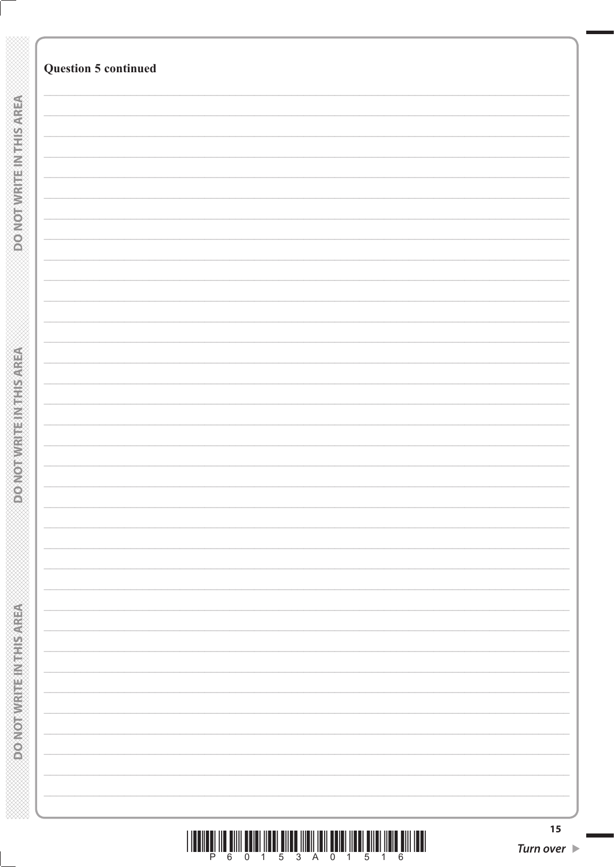|                                               | <b>Question 5 continued</b> |    |
|-----------------------------------------------|-----------------------------|----|
|                                               |                             |    |
|                                               |                             |    |
|                                               |                             |    |
|                                               |                             |    |
|                                               |                             |    |
|                                               |                             |    |
|                                               |                             |    |
|                                               |                             |    |
| <b>DO NOTWRITEINTHIS AREA</b>                 |                             |    |
|                                               |                             |    |
|                                               |                             |    |
|                                               |                             |    |
|                                               |                             |    |
|                                               |                             |    |
|                                               |                             |    |
|                                               |                             |    |
|                                               |                             |    |
|                                               |                             |    |
|                                               |                             |    |
|                                               |                             |    |
|                                               |                             |    |
|                                               |                             |    |
|                                               |                             |    |
|                                               |                             |    |
|                                               |                             |    |
|                                               |                             |    |
| <b>PONORWITH INITIALS AREA</b>                |                             |    |
|                                               |                             |    |
|                                               |                             |    |
|                                               |                             |    |
|                                               |                             |    |
|                                               |                             |    |
|                                               |                             |    |
|                                               |                             |    |
|                                               |                             |    |
|                                               |                             |    |
|                                               |                             |    |
|                                               |                             |    |
|                                               |                             |    |
|                                               |                             |    |
|                                               |                             |    |
|                                               |                             |    |
|                                               |                             |    |
|                                               |                             |    |
| <b>MORTAL REPORT OF A STATE OF A STATE OF</b> |                             |    |
|                                               |                             |    |
|                                               |                             |    |
|                                               |                             |    |
|                                               |                             |    |
|                                               |                             |    |
|                                               |                             |    |
|                                               |                             |    |
|                                               |                             | 15 |